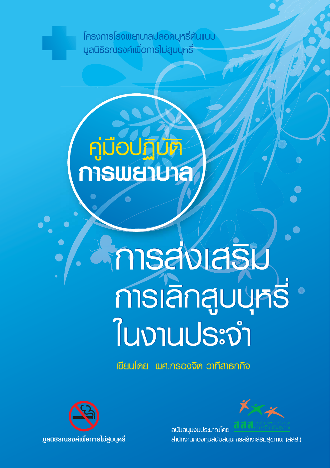โครงการโรงพยาบาลปลอดบหรี่ต้นแบบ มลนิธิรณรงค์เพื่อการไม่สบบหรี่

### **FIJOUDUA** การพยาบาล

# msablasu การเลิกสูบบุครื ในงานประจำ

<u>เขียนโดย พศ.กรองจิต วาทีสาธกกิจ</u>



สนับสนนงบประมาณโดย สำนักงานกองทนสนับสนนการสร้างเสริมสขภาพ (สสส.)

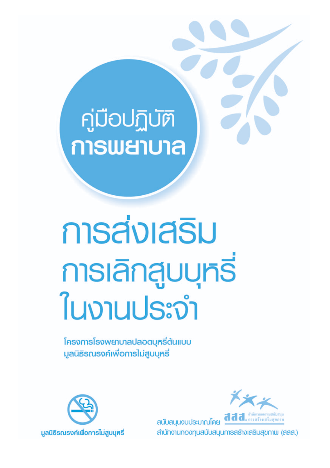## **คู่มือปฏิบัติ** การพยาบาล

# การส่งเสริม การเลิกสูบบุหรี่ ในงานประจำ

โครงการโรงพยาบาลปลอดบุหรี่ต้นแบบ มูลนิธิรณรงค์เพื่อการไม่สูบบุหรี่





สำนักงานกองทนสนับสนนการสร้างเสริมสขภาพ (สสส.)

สนับสนนงบประมาณโดย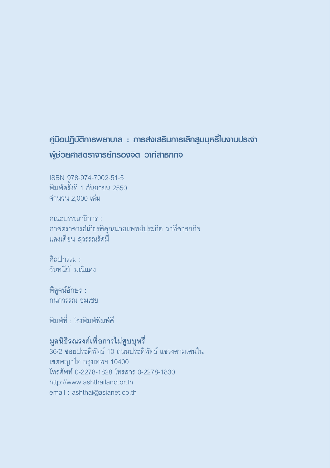#### คู่มือปฏิบัติการพยาบาล : การส่งเสริมการเลิกสูบบุหรี่ในงานประจำ

#### พู้ช่วยศาสตราจารย์กรองจิต วาทีสาธกกิจ

ISBN 978-974-7002-51-5 พิมพ์ครั้งที่ 1 กันยายน 2550 จำนวน 2,000 เล่ม

คณะบรรณาธิการ : ศาสตราจารย์เกียรติคุณนายแพทย์ประกิต วาที่สาธกกิจ แสงเดือน สุวรรณรัศมี่

ศิลปกรรม : วันทนี้ย์ มณีแดง

พิสูจน์อักษร : กนกวรรณ ชมเชย

์<br>พิมพ์ที่ : โรงพิมพ์พิมพ์ดี

### มูลนิธิรณรงค์เพื่อการไม่สุบบุหรี่

.<br>36/2 ซอยประดิพัทธ์ 10 ถนนประดิพัทธ์ แขวงสามเสนใน ิเขตพญาไท กรุงเทพฯ 10400 โทรศัพท์ 0-2278-1828 โทรสาร 0-2278-1830 http://www.ashthailand.or.th email: ashthai@asianet.co.th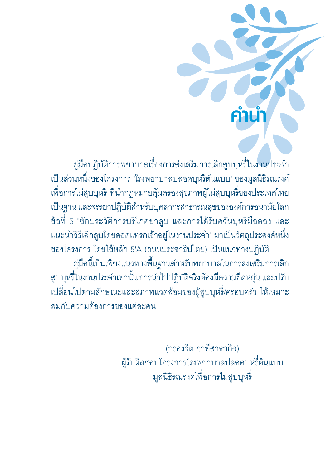้ คู่มือปฏิบัติการพยาบาลเรื่องการส่งเสริมการเลิกสูบบุหรี่ในง<mark>านป</mark>ระจำ ้เป็นส่วนหนึ่งของโครงการ "โรงพยาบาลปลอดบุหรี่ต้นแบบ" ของมูลนิธิรณรงค์ เพื่อการไม่สูบบุหรี่ ที่นำกฎหมายคุ้มครองสุขภาพผู้ไม่สูบบุหรี่ของประเทศไทย เป็นฐาน และจรรยาปฏิบัติสำหรับบุคลากรสาธารณสุขขององค์การอนามัยโลก ข้อที่ 5 "ซักประวัติการบริโภคยาสูบ และการได้รับควันบุหรี่มือสอง และ แนะนำวิธีเลิกสูบโดยสอดแทรกเข้าอยู่ในงานประจำ" มาเป็นวัตถุประสงค์หนึ่ง

ของโครงการ โดยใช้หลัก 5'A (ถนนประชาธิปไตย) เป็นแนวทางปฏิบัติ คู่มือนี้เป็นเพียงแนวทางพื้นฐานลำหรับพยาบาลในการส่งเสริมการเลิก สูบบุหรี่ในงานประจำเท่านั้น การนำไปปฏิบัติจริงต้องมีความยืดหยุ่น และปรับ ้เปลี่ยนไปตามลักษณะและสภาพแวดล้อมของผู้สูบบุหรี่/ครอบครัว ให้เหมาะ สมกับความต้องการของแต่ละคน

> (กรคงจิต วาที่สาธกกิจ) ้ผ้รับผิดชอบโครงการโรงพยาบาลปลอดบหรี่ต้นแบบ มลนิธิรณรงค์เพื่อการไม่สบบหรี่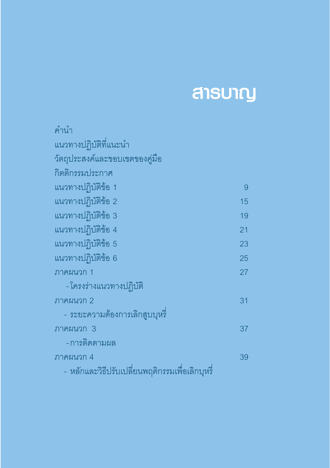### สารบาญ

| คำนำ                                           |    |
|------------------------------------------------|----|
| แนวทางปฏิบัติที่แนะนำ                          |    |
| วัตถุประสงค์และขอบเขตของคู่มือ                 |    |
| กิตติกรรมประกาศ                                |    |
| แนวทางปฏิบัติข้อ 1                             | 9  |
| แนวทางปฏิบัติข้อ 2                             | 15 |
| แนวทางปฏิบัติข้อ 3                             | 19 |
| แนวทางปฏิบัติข้อ 4                             | 21 |
| แนวทางปฏิบัติข้อ 5                             | 23 |
| แนวทางปฏิบัติข้อ 6                             | 25 |
| ิภาคผนวก 1                                     | 27 |
| - โครงร่างแนวทางปฏิบัติ                        |    |
| ุภาคผนวก 2                                     | 31 |
| - ระยะความต้องการเลิกสูบบุหรี่                 |    |
| ภาคผนวก 3                                      | 37 |
| - การติดตามผล                                  |    |
| ุภาคผนวก 4                                     | 39 |
| - หลักและวิธีปรับเปลี่ยนพฤติกรรมเพื่อเลิกบหรี่ |    |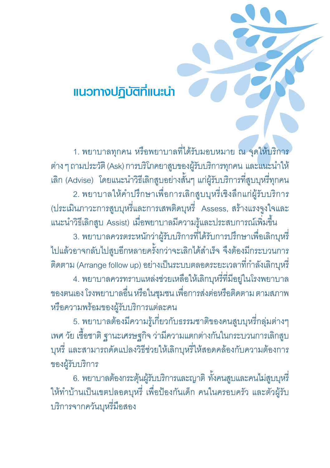### **แนวทางปฏิบัติที่แนะนำ**

1. พยาบาลทุกคน หรือพยาบาลที่ได้รับมอบหมาย <mark>ณ จุดให้บริ</mark>การ ้ต่าง ๆ ถามประวัติ (Ask) การบริโภคยาสูบของผู้รับบริการทุกคน และแนะนำให้ เลิก (Advise) โดยแนะนำวิธีเลิกสูบอย่างสั้นๆ แก่ผู้รับบริการที่สูบบุหรี่ทุกคน 2. พยาบาลให้คำปรึกษาเพื่อการเลิกสูบบุหรี่เชิงลึกแก่ผู้รับบริการ (ประเมินภาวะการสบบหรี่และการเสพติดบุหรี่ Assess, สร้างแรงจุงใจและ

แนะนำวิธีเลิกสบ Assist) เมื่อพยาบาลมีความรู้และประสบการณ์เพิ่มขึ้น ่ 3. พยาบาลควรตระหนักว่าผู้รับบริการที่ได้รับการปรึกษาเพื่อเลิกบุหรี่ ไปแล้วอาจกลับไปสูบอีกหลายครั้งกว่าจะเลิกได้สำเร็จ จึงต้องมีกระบวนการ ติดตาม (Arrange follow up) อย่างเป็นระบบตลอดระยะเวลาที่กำลังเลิกบหรี่ 4. พยาบาลควรทราบแหล่งช่วยเหลือให้เลิกบหรี่ที่มีอยู่ในโรงพยาบาล ้ ของตนเอง โรงพยาบาลอื่น หรือในชุมชน เพื่อการส่งต่อหรือติดตาม ตามสภาพ หรือความพร้อมของผู้รับบริการแต่ละคน

5. พยาบาลต้องมีความรู้เกี่ยวกับธรรมชาติของคนสูบบุหรี่กลุ่มต่างๆ ้เพศ วัย เชื้อชาติ ฐานะเศรษฐกิจ ว่ามีความแตกต่างกันในกระบวนการเลิกสบ ้บุหรี่ และสามารถดัดแปลงวิธีช่วยให้เลิกบุหรี่ให้สอดคล้องกับความต้องการ ของผู้รับบริการ

6. พยาบาลต้องกระตุ้นผู้รับบริการและญาติ ทั้งคนสูบและคนไม่สูบบุหรี่ ให้ทำบ้านเป็นเขตปลอดบุหรี่ เพื่อป้องกันเด็ก คนในครอบครัว และตัวผู้รับ บริการจากควันบุหรี่มือสอง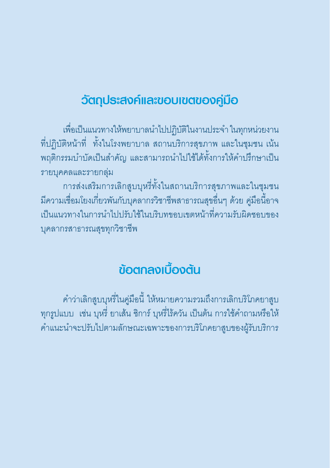### วัตถุประสงค์และขอบเขตของคู่มือ

้เพื่อเป็นแนวทางให้พยาบาลนำไปปฏิบัติในงานประจำ ในทุกหน่วยงาน ที่ปฏิบัติหน้าที่ ทั้งในโรงพยาบาล สถานบริการสุขภาพ และในชุมชน เน้น พฤติกรรมบำบัดเป็นสำคัญ และสามารถนำไปใช้ได้ทั้งการให้คำปรึกษาเป็น รายบุคคลและรายกลุ่ม

การส่งเสริมการเลิกสูบบุหรี่ทั้งในสถานบริการสุขภาพและในชุมชน มีความเชื่อมโยงเกี่ยวพันกับบุคลากรวิชาชีพสาธารณสุขอื่นๆ ด้วย คู่มือนี้อาจ เป็นแนวทางในการนำไปปรับใช้ในบริบทขอบเขตหน้าที่ความรับผิดชอบของ บุคลากรสาธารณสุขทุกวิชาชีพ

### ข้อตกลงเมืองต้ม

คำว่าเลิกสูบบุหรี่ในคู่มือนี้ ให้หมายความรวมถึงการเลิกบริโภคยาสูบ ทุกรูปแบบ เช่น บุหรี่ ยาเส้น ซิการ์ บุหรี่ไร้ควัน เป็นต้น การใช้คำถามหรือให้ คำแนะนำจะปรับไปตามลักษณะเฉพาะของการบริโภคยาสูบของผู้รับบริการ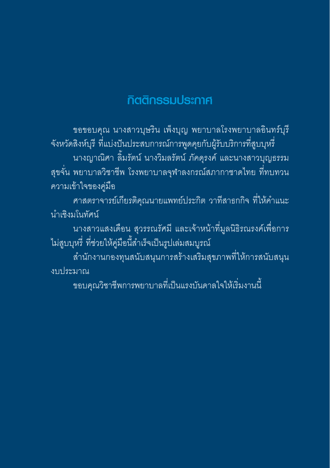### กิตติกรรมประกาศ

ขอขอบคุณ นางสาวบุษริน เพ็งบุญ พยาบาลโรงพยาบาลอินทร์บุรี ้จังหวัดสิงห์บุรี ที่แบ่งปันประสบการณ์การพูดคุยกับผู้รับบริการที่สูบบุหรี่ <u>นางญาณิศา ลิ้มรัตน์ นางวิมลรัตน์ ภัคดุรงค์ และนางสาวบุญธรรม</u> ้สุขจั่น พยาบาลวิชาชีพ โรงพยาบาลจุฬาลงกรณ์สภากาชาดไทย ที่ทบทวน ความเข้าใจของค่มือ

้ ศาสตราจารย์เกียรติคุณนายแพทย์ประกิต วาที่สาธกกิจ ที่ให้คำแนะ บำเชิงบโบทัศบ์

้นางสาวแสงเดือน สุวรรณรัศมี และเจ้าหน้าที่มูลนิธิรณรงค์เพื่อการ ไม่สูบบุหรี่ ที่ช่วยให้คู่มือนี้สำเร็จเป็นรูปเล่มสมบูรณ์

้ สำนักงานกองทุนสนับสนุนการสร้างเสริมสุขภาพที่ให้การสนับสนุน งบประมาณ

<u>ขอบคุณวิชาชีพการพยาบาลที่เป็นแรงบันดาลใจให้เริ่มงานนี้</u>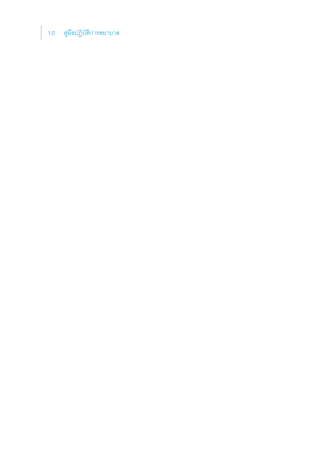#### 10 คู่มือปฏิบัติการพยาบาล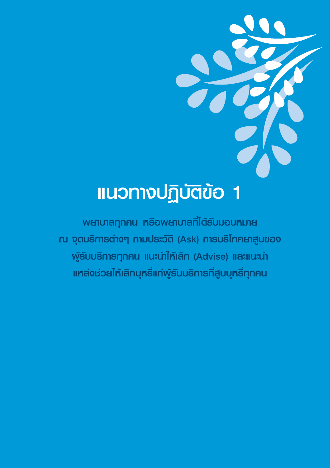

### **แนวทางปฏิบัติข้อ 1**

พยาบาลทุกคน หรือพยาบาลที่ได้รับมอบหมาย ณ จุดบธิการต่างๆ ถามประวัติ (Ask) การบริโภคยาสูบของ พู้รับบริการทุกคน แนะนำให้เลิก (Advise) และแนะนำ **แหล่งช่วยให้เลิกบุหรี่แก่พู้รับบริการที่สูบบุหรี่ทุกคน**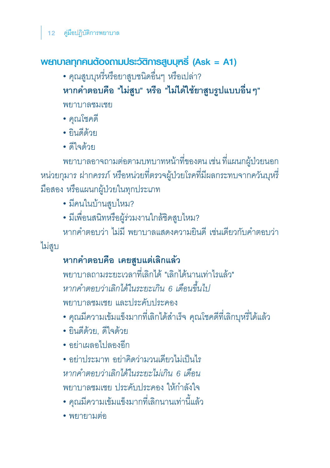wanunannคนต้องกามประวัติการสูบบุหรี่ (Ask = A1)

- คุณสูบบุหรี่หรือยาสูบชนิดอื่นๆ หรือเปล่า? หากคำตอบคือ "ไม่สูบ" หรือ "ไม่ได้ใช้ยาสูบรูปแบบอื่นๆ" พยาบาลชมเชย
- คณโชคดี
- ยินดีด้วย
- ดีใจด้วย

้พยาบาลอาจถามต่อตามบทบาทหน้าที่ของตน เช่น ที่แผนกผู้ป่วยนอก หน่วยกุมาร ฝากครรภ์ หรือหน่วยที่ตรวจผู้ป่วยโรคที่มีผลกระทบจากควันบุหรี่ มื่อสอง หรือแผนกผู้ป่วยในทุกประเภท

- มีคนในบ้านสูบไหม?
- มีเพื่อนสนิทหรือผู้ร่วมงานใกล้ชิดสูบไหม? ้หากคำตอบว่า ไม่มี พยาบาลแสดงความยินดี เช่นเดียวกับคำตอบว่า

### ไม่สบ

### หากคำตอบคือ เคยสูบแต่เลิกแล้ว

้พยาบาลถามระยะเวลาที่เลิกได้ "เลิกได้นานเท่าไรแล้ว" หากคำตอบว่าเลิกได้ในระยะเกิน 6 เดือนขึ้นไป พยาบาลชมเชย และประศับประคอง

- คุณมีความเข้มแข็งมากที่เลิกได้สำเร็จ คุณโชคดีที่เลิกบุหรี่ได้แล้ว
- ยินดีด้วย, ดีใจด้วย
- คะวาเผลคไปลคงคีก
- คย่างไระมาท คย่าคิดว่ามวนเดียวไม่เป็นไร หากคำตอบว่าเลิกได้ในระยะไม่เกิน 6 เดือน พยาบาลชมเชย ประดับประคอง ให้กำลังใจ
- คุณมีความเข้มแข็งมากที่เลิกนานเท่านี้แล้ว
- พยายามต่อ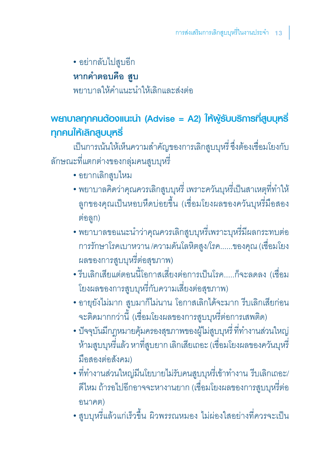• อย่ากลับไปสูบอีก หากคำตอบคือ สูบ พยาบาลให้คำแนะนำให้เลิกและส่งต่อ

### wanunanุกคนต้องแนะนำ (Advise = A2) ให้พู้ธับบริการที่สูบบุหรี่ <u>ทุกคนให้เลิกสูบบุหรี่</u>

เป็นการเน้นให้เห็นความสำคัญของการเลิกสูบบุหรี่ ซึ่งต้องเชื่อมโยงกับ ลักษณะที่แตกต่างของกลุ่มคนสูบบุหรี่

- อยากเลิกสูบไหม
- พยาบาลคิดว่าคุณควรเลิกสูบบุหรี่ เพราะควันบุหรี่เป็นสาเหตุที่ทำให้ ลูกของคุณเป็นหอบหืดบ่อยขึ้น (เชื่อมโยงผลของควันบุหรี่มือสอง ต่อลูก)
- พยาบาลขอแนะนำว่าคุณควรเลิกสูบบุหรี่เพราะบุหรี่มีผลกระทบต่อ การรักษาโรคเบาหวาน/ความดันโลหิตสูง/โรค......ของคุณ (เชื่อมโยง ผลของการสูบบุหรี่ต่อสุขภาพ)
- รีบเลิกเสียแต่ตอนนี้โอกาสเสี่ยงต่อการเป็นโรค.....ก็จะลดลง (เชื่อม โยงผลของการสูบบุหรี่กับความเสี่ยงต่อสุขภาพ)
- อายุยังไม่มาก สูบมาก็ไม่นาน โอกาสเลิกได้จะมาก รีบเลิกเสียก่อน จะติดมากกว่านี้ (เชื่อมโยงผลของการสูบบุหรี่ต่อการเสพติด)
- ปัจจุบันมีกฎหมายคุ้มครองสุขภาพของผู้ไม่สูบบุหรี่ ที่ทำงานส่วนใหญ่ ห้ามสูบบุหรี่แล้ว หาที่สูบยาก เลิกเสียเถอะ (เชื่อมโยงผลของควันบุหรี่ มื่อสองต่อสังคม)
- ที่ทำงานส่วนใหญ่มีนโยบายไม่รับคนสูบบุหรี่เข้าทำงาน รีบเลิกเถอะ/ ้ดีไหม ถ้ารอไปอีกอาจจะหางานยาก (เชื่อมโยงผลของการสูบบุหรี่ต่อ คนาคต)
- สูบบุหรี่แล้วแก่เร็วขึ้น ผิวพรรณหมอง ไม่ผ่องใสอย่างที่ควรจะเป็น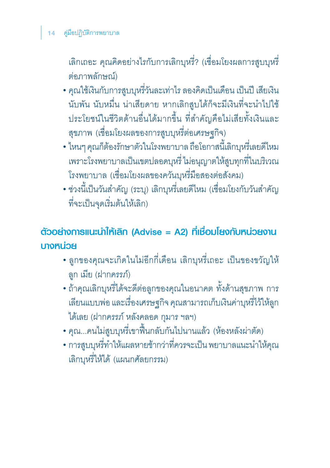้เลิกเถอะ คุณคิดอย่างไรกับการเลิกบุหรี่? (เชื่อมโยงผลการสูบบุหรี่ ต่คภาพลักษณ์โ

- คุณใช้เงินกับการสูบบุหรี่วันละเท่าไร ลองคิดเป็นเดือน เป็นปี เสียเงิน ้นับพัน นับหมื่น น่าเสียดาย หากเลิกสูบได้ก็จะมีเงินที่จะนำไปใช้ ประโยชน์ในชีวิตด้านอื่นได้มากขึ้น ที่สำคัญคือไม่เสียทั้งเงินและ ้ สุขภาพ (เชื่อมโยงผลของการสูบบุหรี่ต่อเศรษฐกิจ)
- ไหนๆ คุณก็ต้องรักษาตัวในโรงพยาบาล ถือโอกาสนี้เลิกบุหรี่เลยดีไหม เพราะโรงพยาบาลเป็นเขตปลอดบุหรี่ ไม่อนุญาตให้สูบทุกที่ในบริเวณ โรงพยาบาล (เชื่อมโยงผลของควันบุหรี่มือสองต่อสังคม)
- ช่วงนี้เป็นวันสำคัญ (ระบุ) เลิกบุหรี่เลยดีไหม (เชื่อมโยงกับวันสำคัญ ที่จะเป็นจุดเริ่มต้นให้เลิก)

### ตัวอย่างการแนะนำให้เลิก (Advise = A2) ที่เชื่อมโยงกับหน่วยงาน บางหน่วย

- ลูกของคุณจะเกิดในไม่อีกกี่เดือน เลิกบุหรี่เถอะ เป็นของขวัญให้ ลูก เมีย (ฝากครรภ์)
- ถ้าคุณเลิกบุหรี่ได้จะดีต่อลูกของคุณในอนาคต ทั้งด้านสุขภาพ การ เลียนแบบพ่อ และเรื่องเศรษฐกิจ คุณสามารถเก็บเงินค่าบุหรี่ไว้ให้ลูก ได้เลย (ฝากครรภ์ หลังคลอด กุมาร ฯลฯ)
- คุณ...คนไม่สูบบุหรี่เขาฟื้นกลับกันไปนานแล้ว (ห้องหลังผ่าตัด)
- การสูบบุหรี่ทำให้แผลหายช้ากว่าที่ควรจะเป็น พยาบาลแนะนำให้คุณ เลิกบุหรี่ให้ได้ (แผนกศัลยกรรม)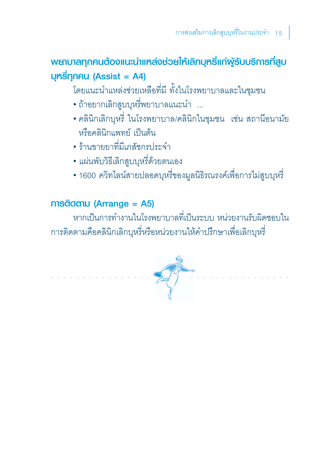### พยาบาลทุกคนต้องแนะนำแหล่งช่วยให้เลิกบุหรี่แก่พู้รับบริการที่สูบ บ<sub>ุ</sub>หรี่ทุกคน (Assist = A4)

โดยแนะนำแหล่งช่วยเหลือที่มี ทั้งในโรงพยาบาลและในชมชน

- ถ้าอยากเลิกสูบบุหรี่พยาบาลแนะนำ ...
- คลินิกเลิกบุหรี่ ในโรงพยาบาล/คลินิกในชุมชน เช่น สถานีอนามัย หรือคลินิกแพทย์ เป็นต้น
- ร้านขายยาที่มีเภสัชกรประจำ
- แผ่นพับวิธีเลิกสูบบุหรี่ด้วยตนเอง
- 1600 ควิทไลน์สายปลอดบุหรี่ของมูลนิธิรณรงค์เพื่อการไม่สูบบุหรี่

### $n$ sc $\overline{a}$ canu (Arrange = A5)

้หากเป็นการทำงานในโรงพยาบาลที่เป็นระบบ หน่วยงานรับผิดชอบใน การติดตามคือคลินิกเลิกบุหรี่หรือหน่วยงานให้คำปรึกษาเพื่อเลิกบุหรี่

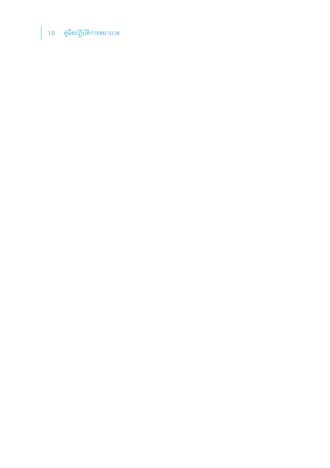#### 16 คู่มือปฏิบัติการพยาบาล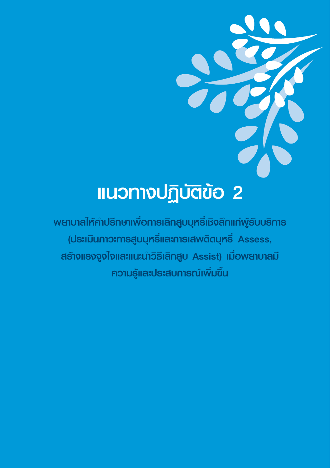

### **แนวทางปฏิบัติข้อ 2**

พยาบาลให้คำปรึกษาเพื่อการเลิกสูบบุหรี่เชิงลึกแก่พู้รับบริการ (ประเมินกาวะการสูบบุหรี่และการเสพติดบุหรี่ Assess, สร้างแรงจูงใจและแนะนำวิธีเลิกสูบ Assist) เมื่อพยาบาลมี ความรู้และประสบการณ์เพิ่มขึ้น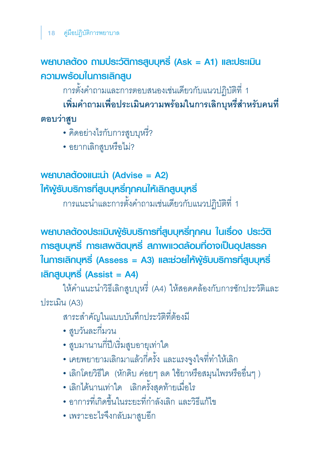### wanunaต้อง กามประวัติการสูบบุหรี่ (Ask = A1) และประเมิน ความพร้อมในการเลิกสบ

การตั้งคำถามและการตอบสนองเช่นเดียวกับแนวปฏิบัติที่ 1 ้เพิ่มคำถามเพื่อประเมินความพร้อมในการเลิกบหรี่สำหรับคนที่ ตอบว่าสูบ

- คิดอย่างไรกับการสบบหรี่?
- อยากเลิกสบหรือไม่?

### wanบาลต้องแนะนำ (Advise = A2) ให้พู้รับบริการที่สูบบุหรี่ทุกคนให้เลิกสูบบุหรี่

การแนะนำและการตั้งคำถามเช่นเดียวกับแนวปฏิบัติที่ 1

พยาบาลต้องประเมินพู้รับบริการที่สูบบุหรี่ทุกคน ในเรื่อง ประวัติ การสูบบุหิรี่ การเสพติดบุหิรี่ สภาพแวดล้อมที่อาจเป็นอุปสรรค ในการเลิกบุหรี่ (Assess = A3) และช่วยให้พู้รับบริการที่สูบบุหรี่ เลิกสูบบุหรี่ (Assist = A4)

ให้คำแนะนำวิธีเลิกสบบหรี่ (A4) ให้สอดคล้องกับการซักประวัติและ 1 ระเมิน (A3)

สาระสำคัญในแบบบันทึกประวัติที่ต้องมี

- สบวันละกี่มวน
- สูบมานานกี่ปี/เริ่มสูบอายุเท่าใด
- เคยพยายามเลิกมาแล้วกี่ครั้ง และแรงจูงใจที่ทำให้เลิก
- เลิกโดยวิธีใด (หักดิบ ค่อยๆ ลด ใช้ยาหรือสมุนไพรหรืออื่นๆ )
- เลิกได้นานเท่าใด เลิกครั้งสุดท้ายเมื่อไร
- คาการที่เกิดขึ้นในระยะที่กำลังเลิก และวิธีแก้ไข
- เพราะอะไรจึงกลับมาสูบอีก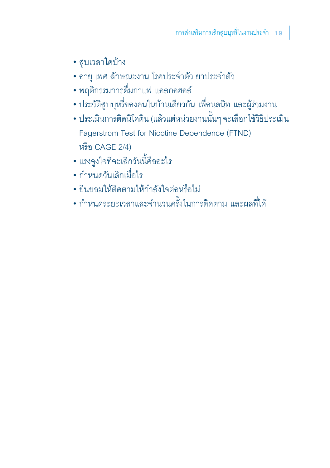- สูบเวลาใดบ้าง
- อายุ เพศ ลักษณะงาน โรคประจำตัว ยาประจำตัว
- พฤติกรรมการดื่มกาแฟ แอลกอฮอล์
- ประวัติสูบบุหรี่ของคนในบ้านเดียวกัน เพื่อนสนิท และผู้ร่วมงาน
- ประเมินการติดนิโคติน (แล้วแต่หน่วยงานนั้นๆ จะเลือกใช้วิธีประเมิน Fagerstrom Test for Nicotine Dependence (FTND) หรือ CAGE 2/4)
- แรงจูงใจที่จะเลิกวันนี้คืออะไร
- กำหนดวันเลิกเมื่อไร
- ยินยอมให้ติดตามให้กำลังใจต่อหรือไม่
- กำหนดระยะเวลาและจำนวนครั้งในการติดตาม และผลที่ได้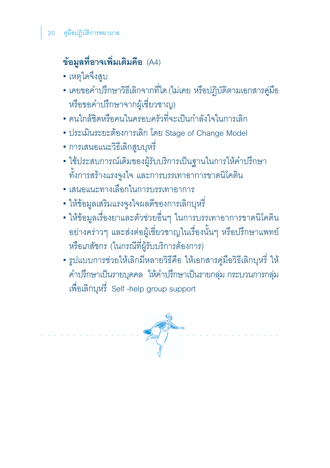### ข้อมูลที่อาจเพิ่มเติมคือ (A4)

- เหตุใดจึงสูบ
- เคยขอคำปรึกษาวิธีเลิกจากที่ใด (ไม่เคย หรือปฏิบัติตามเอกสารคู่มือ หรือขอคำปรึกษาจากผู้เชี่ยวชาญ)
- คนใกล้ชิดหรือคนในครอบครัวที่จะเป็นกำลังใจในการเลิก
- ประเมินระยะต้องการเลิก โดย Stage of Change Model
- การเสนอแนะวิธีเลิกสูบบุหรี่
- ใช้ประสบการณ์เดิมของผู้รับบริการเป็นฐานในการให้คำปรึกษา ้ทั้งการสร้างแรงจูงใจ และการบรรเทาอาการขาดนิโคติน
- เสนคแนะทางเลือกในการบรรเทาอาการ
- ให้ข้อมูลเสริมแรงจูงใจผลดีของการเลิกบุหรี่
- ให้ข้อมูลเรื่องยาและตัวช่วยอื่นๆ ในการบรรเทาอาการขาดนิโคติน อย่างคร่าวๆ และส่งต่อผู้เชี่ยวชาญในเรื่องนั้นๆ หรือปรึกษาแพทย์ หรือเภสัชกร (ในกรณีที่ผู้รับบริการต้องการ)
- รูปแบบการช่วยให้เลิกมีหลายวิธีคือ ให้เอกสารคู่มือวิธีเลิกบุหรี่ ให้ คำปริกษาเป็นรายบุคคล ให้คำปริกษาเป็นรายกลุ่ม กระบวนการกลุ่ม เพื่อเลิกบุหรี่ Self -help group support

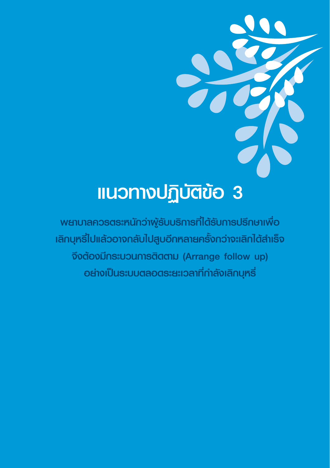

### **แนวทางปฏิบัติข้อ 3**

พยาบาลควรตระหนักว่าพู้รับบริการที่ได้รับการปรึกษาเพื่อ **เลิกบุหรี่ไปแล้วอาจกลับไปสูบอีกหลายครั้งกว่าจะเลิกได้สำเร็จ** จึงต้องมีกระบวนการติดตาม (Arrange follow up) อย่างเป็นระบบตลอดระยะเวลาที่กำลังเลิกบุหรี่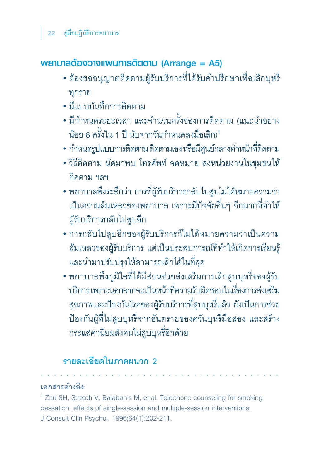### wยาบาลต้องวางแพนการติดตาม (Arrange = A5)

- ต้องขออนุญาตติดตามผู้รับบริการที่ได้รับคำปรึกษาเพื่อเลิกบุหรี ทุกราย
- มีแบบบันทึกการติดตาม
- มีกำหนดระยะเวลา และจำนวนครั้งของการติดตาม (แนะนำอย่าง น้อย 6 ครั้งใน 1 ปี นับจากวันกำหนดลงมือเลิก) $^{\textrm{\tiny{\textsf{1}}}}$
- กำหนดรูปแบบการติดตาม ติดตามเอง หรือมีศูนย์กลางทำหน้าที่ติดตาม
- วิธีติดตาม นัดมาพบ โทรศัพท์ จดหมาย ส่งหน่วยงานในชุมชนให้ ติดตาม ฯลฯ
- พยาบาลพึงระลึกว่า การที่ผู้รับบริการกลับไปสูบไม่ได้หมายความว่า เป็นความล้มเหลวของพยาบาล เพราะมีปัจจัยอื่นๆ อีกมากที่ทำให้ ผู้รับบริการกลับไปสูบอีก
- การกลับไปสูบอีกของผู้รับบริการก็ไม่ได้หมายความว่าเป็นความ ล้มเหลวของผู้รับบริการ แต่เป็นประสบการณ์ที่ทำให้เกิดการเรียนรู้ และนำมาปรับปรุงให้สามารถเลิกได้ในที่สุด
- พยาบาลพึงภูมิใจที่ได้มีส่วนช่วยส่งเสริมการเลิกสูบบุหรี่ของผู้รับ บริการ เพราะนอกจากจะเป็นหน้าที่ความรับผิดชอบในเรื่องการส่งเสริม สุขภาพและป้องกันโรคของผู้รับบริการที่สูบบุหรี่แล้ว ยังเป็นการช่วย ป้องกันผู้ที่ไม่สูบบุหรี่จากอันตรายของควันบุหรี่มือสอง และสร้าง กระแสค่านิยมสังคมไม่สูบบุหรี่อีกด้วย

### รายละเคียดในภาคผนวก 2

#### เคกสารค้างคิง:

<sup>1</sup> Zhu SH, Stretch V, Balabanis M, et al. Telephone counseling for smoking cessation: effects of single-session and multiple-session interventions. J Consult Clin Psychol. 1996;64(1):202-211.

○○○○○○○○○○○○ ○○○○○○○○○○○○○○○○○○○○○○○○○○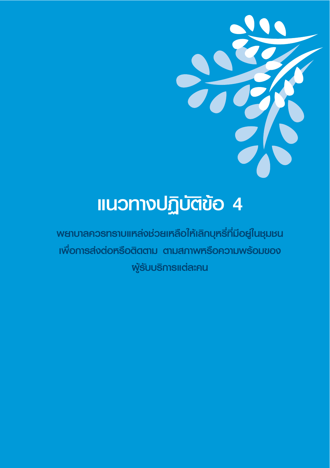

### **แนวทางปฏิบัติข้อ 4**

พยาบาลควรทราบแหล่งช่วยเหลือให้เลิกบุหรี่ที่มีอยู่ในชุมชน **เพื่อการส่งต่อหรือติดตาม ตามสภาพหรือความพร้อมของ** พู้รับบริการแต่ละคน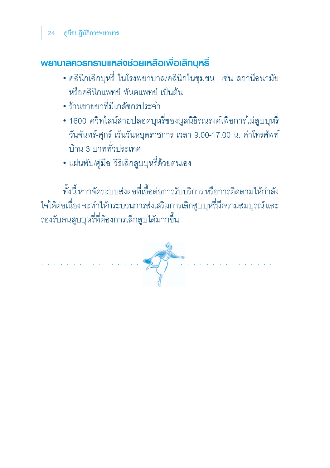### พยาบาลควรทราบแหล่งช่วยเหลือเพื่อเลิกบุหรี่

- คลินิกเลิกบุหรี่ ในโรงพยาบาล/คลินิกในซุมชน เช่น สถานีอนามัย หรือคลินิกแพทย์ ทันตแพทย์ เป็นต้น
- ร้านขายยาที่มีเภสัชกรประจำ
- 1600 ควิทไลน์สายปลอดบุหรี่ของมูลนิธิรณรงค์เพื่อการไม่สูบบุหรี่ วันจันทร์-ศุกร์ เว้นวันหยุดราชการ เวลา 9.00-17.00 น. ค่าโทรศัพท์ ้ำไาบ 3 บาททั่วประเทศ
- แผ่นพับ/คู่มือ วิธีเลิกสูบบุหรี่ด้วยตนเอง

ทั้งนี้ หากจัดระบบส่งต่อที่เลื้อต่อการรับบริการ หรือการติดตามให้กำลัง ใจได้ต่อเนื่อง จะทำให้กระบวนการส่งเสริมการเลิกสูบบุหรี่มีความสมบูรณ์ และ รองรับคนสูบบุหรี่ที่ต้องการเลิกสูบได้มากขึ้น

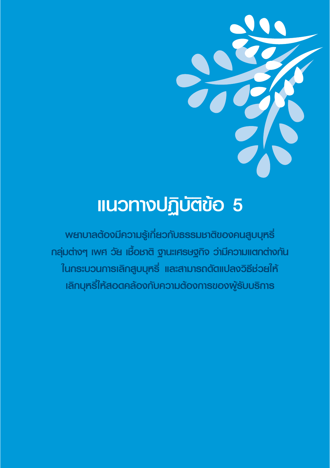

### **แนวทางปฏิบัติข้อ 5**

พยาบาลต้องมีความรู้เกี่ยวกับธรรมชาติของคนสูบบุหรี่ กลุ่มต่างๆ เพศ วัน เหื้อชาติ ฐานะเศรษฐกิจ ว่ามีความแตกต่างกัน ในกระบวนการเลิกสูบบุหรี่ และสามารถตัดแปลงวิธีช่วยให้ **เลิกบุหรี่ให้สอดคล้องกับความต้องการของพู้รับบริการ**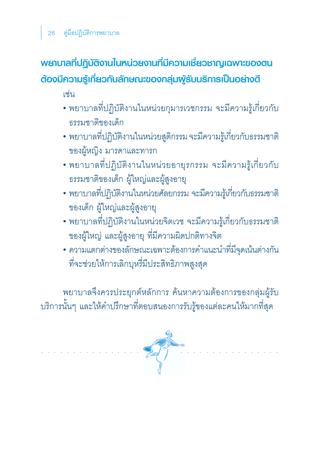### พยาบาลที่ปฏิบัติงานในหน่วยงานที่มีความเชี่ยวชาญเฉพาะของตน ต้องมีความร้เกี่ยวกับลักษณะของกล่มพ้รับบริการเป็นอย่างดี

เช่น

- พยาบาลที่ปฏิบัติงานในหน่วยกุมารเวชกรรม จะมีความรู้เกี่ยวกับ ธรรบศาติของเด็ก
- พยาบาลที่ปฏิบัติงานในหน่วยสูติกรรม จะมีความรู้เกี่ยวกับธรรมชาติ ของผ้หญิง มารดาและทารก
- พยาบาลที่ปฏิบัติงานในหน่วยอายุรกรรม จะมีความรู้เกี่ยวกับ ธรรมชาติของเด็ก ผู้ใหญ่และผู้สูงอายุ
- พยาบาลที่ปฏิบัติงานในหน่วยศัลยกรรม จะมีความร้เกี่ยวกับธรรมชาติ ของเด็ก ผู้ใหญ่และผู้สูงอายุ
- พยาบาลที่ปฏิบัติงานในหน่วยจิตเวช จะมีความรู้เกี่ยวกับธรรมชาติ ของผู้ใหญ่ และผู้สูงอายุ ที่มีความผิดปกติทางจิต
- ความแตกต่างของลักษณะเฉพาะต้องการคำแนะนำที่มีจุดเน้นต่างกัน ที่จะช่วยให้การเลิกบหรี่มีประสิทธิภาพสงสด

พยาบาลจึงควรประยุกต์หลักการ ค้นหาความต้องการของกลุ่มผู้รับ ้บริการนั้นๆ และให้คำปรึกษาที่ตอบสนองการรับรู้ของแต่ละคนให้มากที่สุด

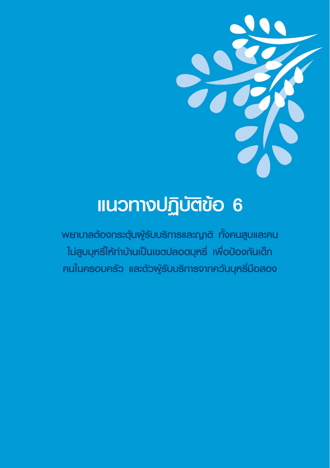

### **แนวทางปฏิบัติข้อ 6**

พยาบาลต้องกระตุ้นพู้ธับบริการและญาติ ทั้งคนสูบและคน ไม่สูบบุหรี่ให้ทำบ้านเป็นเขตปลอดบุหรี่ เพื่อป้องกันเด็ก คนในครอบครัว และตัวพู้รับบริการจากควันบุหรี่มือสอง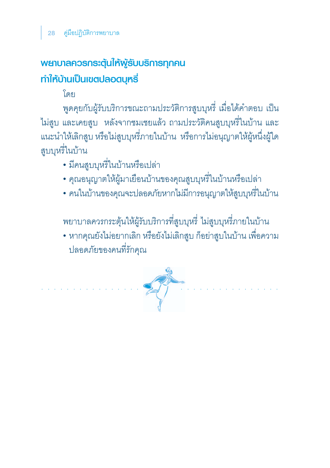### พยาบาลควรกระตุ้นให้พู้รับบริการทุกคน ทำให้บ้านเป็นเขตปลอดบหรี่

ใดย

ทูดคุยกับผู้รับบริการขณะถามประวัติการสูบบุหรี่ เมื่อได้คำตอบ เป็น ไม่สูบ และเคยสูบ หลังจากชมเชยแล้ว ถามประวัติคนสูบบุหรี่ในบ้าน และ แนะนำให้เลิกสูบ หรือไม่สูบบุหรี่ภายในบ้าน หรือการไม่อนุญาตให้ผู้หนึ่งผู้ใด สูบบุหรี่ในบ้าน

- มีคนสบบหรี่ในบ้านหรือเปล่า
- คุณอนุญาตให้ผู้มาเยือนบ้านของคุณสูบบุหรี่ในบ้านหรือเปล่า
- คนในบ้านของคุณจะปลอดภัยหากไม่มีการอนุญาตให้สุบบุหรี่ในบ้าน

้พยาบาลควรกระตุ้นให้ผู้รับบริการที่สูบบุหรี่ ไม่สูบบุหรี่ภายในบ้าน

• หากคุณยังไม่อยากเลิก หรือยังไม่เลิกสูบ ก็อย่าสูบในบ้าน เพื่อความ ปลอดภัยของคนที่รักคณ

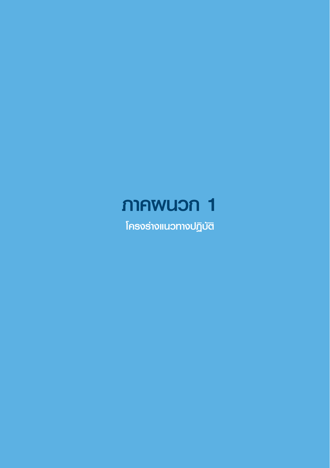### **nnwuon 1**

์ โครงร่างแนวทางปฏิบัติ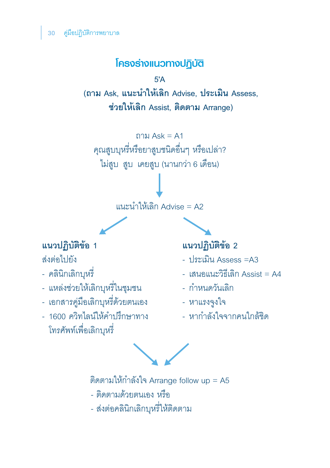### โครงร่างแนวทางปฏิบัติ

 $5'A$ 

(ถาม Ask, แนะนำให้เลิก Advise, ประเมิน Assess, ช่วยให้เลิก Assist. ติดตาม Arrange)

ถาม Ask =  $A1$ คุณสูบบุหรี่หรือยาสูบชนิดอื่นๆ หรือเปล่า? ไม่สูบ สูบ เคยสูบ (นานกว่า 6 เดือน)

แนะนำให้เลิก Advise = A2

### แนวปฏิบัติข้อ 1

### ส่งต่อไปยัง

- คลินิกเลิกบุหรี่
- แหล่งช่วยให้เลิกบุหรี่ในชุมชน
- เอกสารคู่มือเลิกบุหรี่ด้วยตนเอง
- 1600 ควิทไลน์ให้คำปรึกษาทาง โทรศัพท์เพื่อเลิกบุหรี่

### แนวปฏิบัติข้อ 2

- ประเมิน Assess = A3
- เสนอแนะวิธีเลิก Assist = A4
- กำหนดวันเลิก
- หาแรงจูงใจ
- หากำลังใจจากคนใกล้ชิด



ติดตามให้กำลังใจ Arrange follow up = A5

- ติดตามด้วยตนเคง หรือ
- ส่งต่อคลินิกเลิกบุหรี่ให้ติดตาม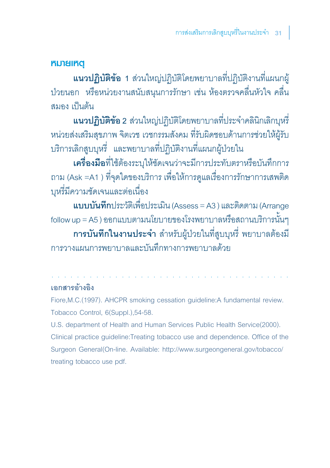#### **FIJJUIFCI**

**แนวปฏิบัติข้อ 1** ส่วนใหญ่ปฏิบัติโดยพยาบาลที่ปฏิบัติงานที่แผนกผู้ ป่วยนอก หรือหน่วยงานสนับสนุนการรักษา เช่น ห้องตรวจคลื่นหัวใจ คลื่น สมคง เป็นต้น

**แนวปฏิบัติข้อ 2** ส่วนใหญ่ปฏิบัติโดยพยาบาลที่ประจำคลินิกเลิกบุหรี่ หน่วยส่งเสริมสุขภาพ จิตเวช เวชกรรมสังคม ที่รับผิดชอบด้านการช่วยให้ผู้รับ บริการเลิกสูบบุหรี่ และพยาบาลที่ปฏิบัติงานที่แผนกผู้ป่วยใน

**เครื่องมือ**ที่ใช้ต้องระบุให้ชัดเจนว่าจะมีการประทับตราหรือบันทึกการ ถาม (Ask =A1 ) ที่จุดใดของบริการ เพื่อให้การดูแลเรื่องการรักษาการเสพติด บุหรี่มีความชัดเจนและต่อเนื่อง

**แบบบันทึก**ประวัติเพื่อประเมิน (Assess = A3 ) และติดตาม (Arrange follow up = A5 ) ออกแบบตามนโยบายของโรงพยาบาลหรือสถานบริการนั้นๆ ี <mark>การบันทึกในงานประจ</mark>ำ สำหรับผ้ป่วยในที่สบบหรี่ พยาบาลต้องมี การาางแผนการพยาบาคแคะบันทึกทางการพยาบาคด้าย

#### เอก<mark>ส</mark>ารอ้างอิง

Fiore,M.C.(1997). AHCPR smoking cessation guideline:A fundamental review. Tobacco Control, 6(Suppl.),54-58.

○○○○○○○○○○○○ ○○○○○○○○○○○○○○○○○○○○○○○○○○

U.S. department of Health and Human Services Public Health Service(2000). Clinical practice guideline:Treating tobacco use and dependence. Office of the Surgeon General(On-line. Available: http://www.surgeongeneral.gov/tobacco/ treating tobacco use pdf.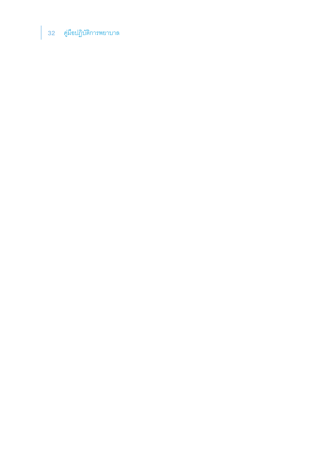#### 32 คู่มือปฏิบัติการพยาบาล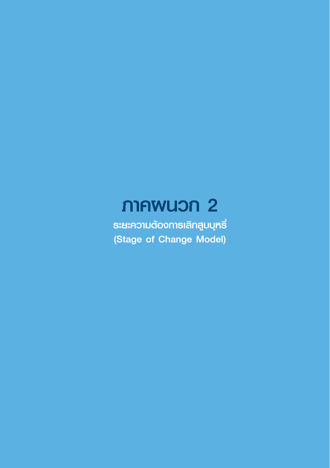### **ภาคพนวก 2**

ระยะความต้องการเลิกสูบบุหรี่ (Stage of Change Model)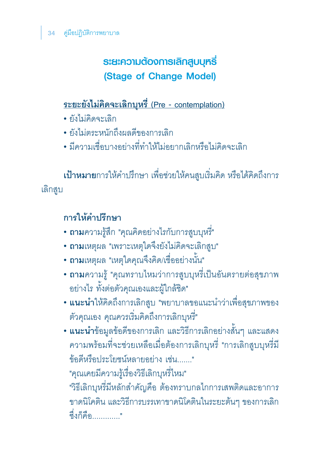### ระยะความต้องการเลิกสูบบุหรี่ (Stage of Change Model)

### <u>ระยะยังไม่คิดจะเลิกบุหรี่ (Pre - contemplation)</u>

- ยังไม่คิดจะเลิก
- ยังไม่ตระหนักถึงผลดีของการเลิก
- มีความเชื่อบางอย่างที่ทำให้ไม่อยากเลิกหรือไม่คิดจะเลิก

ี**เป้าหมาย**การให้คำปรึกษา เพื่อช่วยให้คนสูบเริ่มคิด หรือได้คิดถึงการ เลิกสบ

### การให้คำปรึกษา

- ถามความรู้สึก "คุณคิดอย่างไรกับการสูบบุหรี่"
- ถามเหตุผล "เพราะเหตุใดจึงยังไม่คิดจะเลิกสูบ"
- ถามเหตุผล "เหตุใดคุณจึงคิด/เชื่ออย่างนั้น"
- **ถาม**ความรู้ "คุณทราบไหมว่าการสูบบุหรี่เป็นอันตรายต่อสุขภาพ ้อย่างไร ทั้งต่อตัวคุณเองและผู้ใกล้ชิด"
- แนะนำให้คิดถึงการเลิกสูบ "พยาบาลขอแนะนำว่าเพื่อสุขภาพของ ตัวคุณเอง คุณควรเริ่มคิดถึงการเลิกบุหรี่"
- แนะนำข้อมูลข้อดีของการเลิก และวิธีการเลิกอย่างสั้นๆ และแสดง ้ความพร้อมที่จะช่วยเหลือเมื่อต้องการเลิกบุหรี่ "การเลิกสูบบุหรี่มี ข้อดีหรือประโยชน์หลายอย่าง เช่น......" "คุณเคยมีความรู้เรื่องวิธีเลิกบุหรี่ไหม"

"วิธีเลิกบุหรี่มีหลักสำคัญคือ ต้องทราบกลไกการเสพติดและอาการ ขาดนิโคติน และวิธีการบรรเทาขาดนิโคตินในระยะต้นๆ ของการเลิก ส่. รส<br><sup>ที่</sup>งก็คือ............"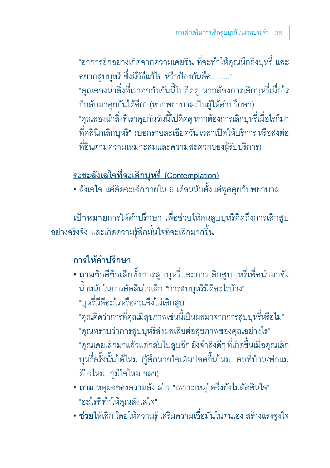"อาการอีกอย่างเกิดจากความเคยชิน ที่จะทำให้คุณนึกถึงบุหรี่ และ ้อยากสบบหรี่ ซึ่งมีวิธีแก้ไข หรือป้องกันคือ........" "คุณลองนำสิ่งที่เราคุยกันวันนี้ไปคิดดู หากต้องการเลิกบุหรี่เมื่อไร ก็กลับมาคุยกันได้อีก" (หากพยาบาลเป็นผู้ให้คำปริกษา) "คุณลองนำสิ่งที่เราคุยกันวันนี้ไปคิดดู หากต้องการเลิกบุหรี่เมื่อไรก็มา ที่คลินิกเลิกบุหรี่" (บอกรายละเอียดวัน เวลาเปิดให้บริการ หรือส่งต่อ ที่อื่นตามความเหมาะสมและความสะดวกของผู้รับบริการ)

### <u>ระยะลังเลใจที่จะเลิกบุหรี่ (Contemplation)</u>

• ลังเลใจ แต่คิดจะเลิกภายใน 6 เดือนนับตั้งแต่พูดคุยกับพยาบาล

้**เป้าหมาย**การให้คำปรึกษา เพื่อช่วยให้คนสูบบุหรี่คิดถึงการเลิกสูบ ้อย่างจริงจัง และเกิดความรู้สึกมั่นใจที่จะเลิกมากขึ้น

### การให้คำปรึกษา

- ถามข้อดีข้อเสียทั้งการสูบบุหรี่และการเลิกสูบบุหรี่เพื่อนำมาชั่ง น้ำหนักในการตัดสินใจเลิก "การสูบบุหรี่มีดีอะไรบ้าง" "บุหรี่มีดีอะไรหรือคุณจึงไม่เลิกสูบ"
	- "คุณคิดว่าการที่คุณมีสุขภาพเช่นนี้เป็นผลมาจากการสูบบุหรี่หรือไม่" "คุณทราบว่าการสูบบุหรี่ส่งผลเสียต่อสุขภาพของคุณอย่างไร" "คุณเคยเลิกมาแล้วแต่กลับไปสูบอีก ยังจำสิ่งดีๆ ที่เกิดขึ้นเมื่อคุณเลิก บุหรี่ครั้งนั้นได้ไหม (รู้สึกหายใจเต็มปอดขึ้นไหม, คนที่บ้าน/พ่อแม่ ดีใจไหม, ภูมิใจไหม ฯลฯ)
- ถามเหตุผลของความลังเลใจ "เพราะเหตุใดจึงยังไม่ตัดสินใจ" "อะไรที่ทำให้คุณลังเลใจ"
- ช่วยให้เลิก โดยให้ความรู้ เสริมความเชื่อมั่นในตนเอง สร้างแรงจูงใจ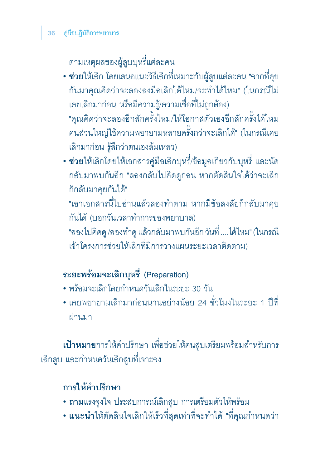ตามเหตุผลของผู้สูบบุหรี่แต่ละคน

- ช่วยให้เลิก โดยเสนอแนะวิธีเลิกที่เหมาะกับผู้สูบแต่ละคน "จากที่คุย กันมาคุณคิดว่าจะลองลงมือเลิกได้ไหม/จะทำได้ไหม" (ในกรณีไม่ เคยเลิกมาก่อน หรือมีความรู้/ความเชื่อที่ไม่ถูกต้อง) "คุณคิดว่าจะลองอีกสักครั้งไหม/ให้โอกาสตัวเองอีกสักครั้งได้ไหม ้คนส่วนใหญ่ใช้ความพยายามหลายครั้งกว่าจะเลิกได้" (ในกรณีเคย เลิกมาก่อน รู้สึกว่าตนเองล้มเหลว)
- ช่วยให้เลิกโดยให้เอกสารคู่มือเลิกบุหรี่/ข้อมูลเกี่ยวกับบุหรี่ และนัด กลับมาพบกันอีก "ลองกลับไปคิดดูก่อน หากตัดสินใจได้ว่าจะเลิก ก็กลับมาคุยกันได้"
	- "เอาเอกสารนี่ไปอ่านแล้วลองทำตาม หากมีข้อสงสัยก็กลับมาคุย กันได้ (บอกวันเวลาทำการของพยาบาล)
	- "ลองไปคิดดู /ลองทำดู แล้วกลับมาพบกันอีก วันที่ ....ได้ไหม" (ในกรณี เข้าโครงการช่วยให้เลิกที่มีการวางแผนระยะเวลาติดตาม)

### <u>ระยะพร้อมจะเลิกบุหรี่ (Preparation)</u>

- พร้อมจะเลิกโดยกำหนดวันเลิกในระยะ 30 วัน
- เคยพยายามเลิกมาก่อนนานอย่างน้อย 24 ชั่วโมงในระยะ 1 ปีที่ ผ่านมา

เ**ป้าหมาย**การให้คำปรึกษา เพื่อช่วยให้คนสูบเตรียมพร้อมสำหรับการ ้เลิกสูบ และกำหนดวันเลิกสูบที่เจาะจง

### การให้คำปรึกษา

- ถามแรงจูงใจ ประสบการณ์เลิกสูบ การเตรียมตัวให้พร้อม
- แนะนำให้ตัดสินใจเลิกให้เร็วที่สุดเท่าที่จะทำได้ "ที่คุณกำหนดว่า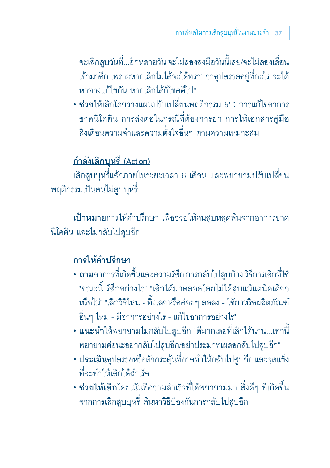้จะเลิกสูบวันที่...อีกหลายวัน จะไม่ลองลงมือวันนี้เลย/จะไม่ลองเลื่อน ้เข้ามาอีก เพราะหากเลิกไม่ได้จะได้ทราบว่าอุปสรรคอยู่ที่อะไร จะได้ หาทางแก้ไขกัน หากเลิกได้ก็โชคดีไป"

• ช่วยให้เลิกโดยวางแผนปรับเปลี่ยนพฤติกรรม 5'D การแก้ไขอาการ ขาดนิโคติน การส่งต่อในกรณีที่ต้องการยา การให้เอกสารคู่มือ สิ่งเตือนความจำและความตั้งใจอื่นๆ ตามความเหมาะสม

### <u>กำลังเลิกบุหรี่ (Action)</u>

้เลิกสูบบุหรี่แล้วภายในระยะเวลา 6 เดือน และพยายามปรับเปลี่ยน ิพฤติกรรมเป็นคนไม่สูบบุหรี่

้**เป้าหมาย**การให้คำปรึกษา เพื่อช่วยให้คนสูบหลุดพ้นจากอาการขาด นิโคติน และไม่กลับไปสูบอีก

### การให้คำปรึกษา

- ถามอาการที่เกิดขึ้นและความรู้สึก การกลับไปสูบบ้าง วิธีการเลิกที่ใช้ "ขณะนี้ รู้สึกอย่างไร" "เลิกได้มาตลอดโดยไม่ได้สบแม้แต่นิดเดียว หรือไม่" "เลิกวิธีไหน - ทิ้งเลยหรือค่อยๆ ลดลง - ใช้ยาหรือผลิตภัณฑ์ อื่นๆ ไหม - มีอาการอย่างไร - แก้ไขอาการอย่างไร"
- แนะนำให้พยายามไม่กลับไปสูบอีก "ดีมากเลยที่เลิกได้นาน...เท่านี้ พยายามต่อนะอย่ากลับไปสูบอีก/อย่าประมาทเผลอกลับไปสูบอีก"
- ประเมินอุปสรรคหรือตัวกระตุ้นที่อาจทำให้กลับไปสูบอีก และจุดแข็ง ที่จะทำให้เลิกได้สำเร็จ
- ช่วยให้เลิกโดยเน้นที่ความสำเร็จที่ได้พยายามมา สิ่งดีๆ ที่เกิดขึ้น จากการเลิกสูบบุหรี่ ค้นหาวิธีป้องกันการกลับไปสูบอีก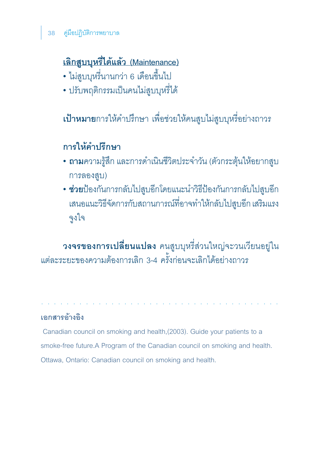### <u>เลิกสูบบุหรี่ได้แล้ว (Maintenance)</u>

- ไม่สูบบุหรี่นานกว่า 6 เดือนขึ้นไป
- ปรับพฤติกรรมเป็นคนไม่สูบบุหรี่ได้

**เป้าหมาย**การให้คำปริึกษา เพื่อช่วยให้คนสูบไม่สูบบุหรี่อย่างถาวร

### การให<mark>้</mark>คำปรึกษา

- **ถาม**ความรู้สึก และการดำเนินชีวิตประจำวัน (ตัวกระตุ้นให้อยากสูบ การลองสูบ)
- ช่วยป้องกันการกลับไปสูบอีกโดยแนะนำวิธีป้องกันการกลับไปสูบอีก เสนอแนะวิธีจัดการกับสถานการณ์ที่อาจทำให้กลับไปสูบอีก เสริมแรง จูงใจ

**วงจรของการเปลี่ยนแปลง** คนสูบบุหรี่ส่วนใหญ่จะวนเวียนอยู่ใน แต่ละระยะของความต้องการเลิก 3-4 ครั้งก่อนจะเลิกได้อย่างถาวร

○○○○○○○○○○○○ ○○○○○○○○○○○○○○○○○○○○○○○○○○

#### เอก<mark>ส</mark>ารอ้างอิง

 Canadian council on smoking and health,(2003). Guide your patients to a smoke-free future.A Program of the Canadian council on smoking and health. Ottawa, Ontario: Canadian council on smoking and health.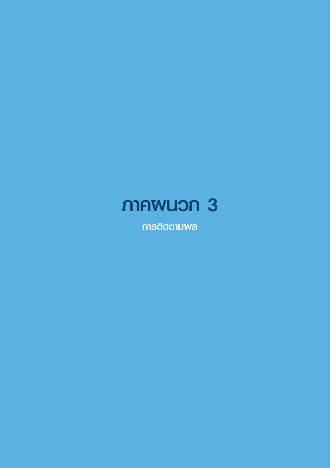

การติดตามพล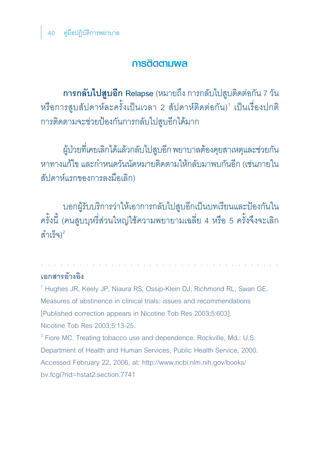### การติดตามพล

**การกลับไปสูบอีก Relapse** (หมายถึง การกลับไปสูบติดต่อกัน 7 วัน หรือการสูบสัปดาห์ละครั้งเป็นเวลา 2 สัปดาห์ติดต่อกัน)' เป็นเรื่องปกติ การติดตามจะช่วยป้องกันการกลับไปสูบอีกได้มาก

ผู้ป่วยที่เคยเลิกได้แล้วกลับไปสูบอีก พยาบาลต้องคุยสาเหตุและช่วยกัน หาทางแก้ไข และกำหนดวันนัดหมายติดตามให้กลับมาพบกันอีก (เช่นภายใน ลัปดาห์แรกของการลงมือเลิก)

บอกผู้รับบริการว่าให้เอาการกลับไปสูบอีกเป็นบทเรียนและป้องกันใน ครั้งนี้ (คนสูบบุหรี่ส่วนใหญ่ใช้ความพยายามเฉลี่ย 4 หรือ 5 ครั้งจึงจะเลิก สำเร็จ) $^2$ 

○○○○○○○○○○○○ ○○○○○○○○○○○○○○○○○○○○○○○○○○

#### เอก<mark>ส</mark>ารอ้างอิง

<sup>1</sup> Hughes JR, Keely JP, Niaura RS, Ossip-Klein DJ, Richmond RL, Swan GE. Measures of abstinence in clinical trials: issues and recommendations [Published correction appears in Nicotine Tob Res 2003;5:603]. Nicotine Tob Res 2003;5:13-25.

 $2$  Fiore MC. Treating tobacco use and dependence. Rockville, Md.: U.S. Department of Health and Human Services, Public Health Service, 2000. Accessed February 22, 2006, at: http://www.ncbi.nlm.nih.gov/books/ bv.fcgi?rid=hstat2.section.7741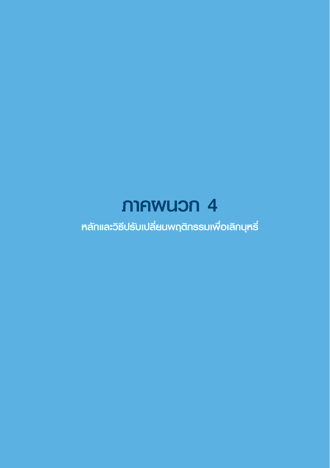### **ภาคพนวก 4**

หลักและวิธีปรับเปลี่ยนพฤติกรรมเพื่อเลิกบุหรี่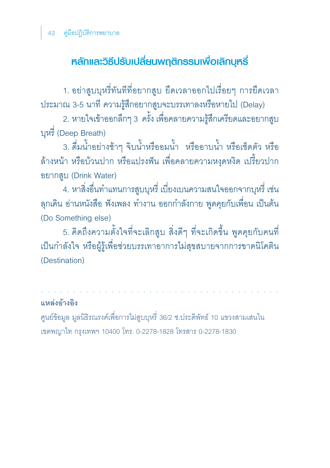### หลักและวิธีปรับเปลี่ยนพฤติกรรมเพื่อเลิกบุหรี่

1. อย่าสูบบุหรี่ทันทีที่อยากสูบ ยืดเวลาออกไปเรื่อยๆ การยืดเวลา ประมาณ 3-5 นาที ความรู้สึกอยากสูบจะบรรเทาลงหรือหายไป (Delay)

2. หายใจเข้าออกลึกๆ 3 ครั้ง เพื่อคลายความรู้สึกเครียดและอยากสูบ (Deep Breath)

3. ดื่มน้ำอย่างช้าๆ จิบน้ำหรืออมน้ำ หรืออาบน้ำ หรือเช็ดตัว หรือ ล้างหน้า หรือบ้วนปาก หรือแปรงฟัน เพื่อคลายความหงุดหงิด เปรี้ยวปาก (Drink Water)

4. หาสิ่งอื่นทำแทนการสูบบุหรี่ เบี่ยงเบนความสนใจออกจากบุหรี่ เช่น ลุกเดิน อ่านหนังสือ ฟังเพลง ทำงาน ออกกำลังกาย พูดคุยกับเพื่อน เป็นต้น (Do Something else)

5. คิดถึงความตั้งใจที่จะเลิกสูบ สิ่งดีๆ ที่จะเกิดขึ้น พูดคุยกับคนที่ เป็นกำลังใจ หรือผู้รู้เพื่อช่วยบรรเทาอาการไม่สุขสบายจากการขาดนิโคติน (Destination)

### ○○○○○○○○○○○○ ○○○○○○○○○○○○○○○○○○○○○○○○○○

#### แหล่ง<mark>อ้า</mark>งอิง 1

ศูนย์ข้อมูล มูลนิธิรณรงค์เพื่อการไม่สูบบุหรี่ 36/2 ซ.ประดิพัทธ์ 10 แขวงสามเสนใน เขตพญาไท กรุงเทพฯ 10400 โทร. 0-2278-1828 โทรสาร 0-2278-1830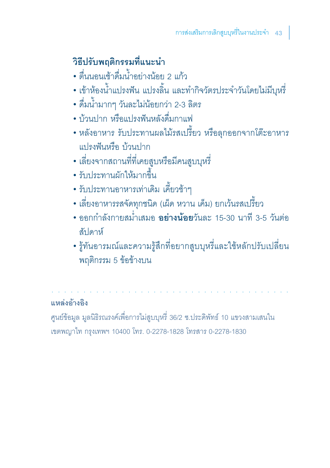### วิธีปรับพฤติกรรมที่แนะนำ

- ตื่นนคนเช้าดื่มน้ำคย่างน้อย 2 แก้ว
- เข้าห้องน้ำแปรงฟัน แปรงลิ้น และทำกิจวัตรประจำวันโดยไม่มีบุหรี่
- ดื่มน้ำมากๆ วันละไม่น้อยกว่า 2-3 ลิตร
- บ้วนปาก หรือแปรงฟันหลังดื่มกาแฟ
- หลังอาหาร รับประทานผลไม้รสเปรี้ยว หรือลุกออกจากโต๊ะอาหาร แปรงฟันหรือ บ้วนปาก
- เลี่ยงจากสถานที่ที่เคยสูบหรือมีคนสูบบุหรี่
- รับประทานผักให้มากขึ้น
- รับประทานอาหารเท่าเดิม เคี้ยวช้าๆ
- เลี่ยงอาหารรสจัดทุกชนิด (เผ็ด หวาน เค็ม) ยกเว้นรสเปรี้ยว
- คคกกำลังกายสม่ำเสมอ **อย่างน้อย**วันละ 15-30 นาที 3-5 วันต่อ สัปดาน์
- รู้ทันอารมณ์และความรู้สึกที่อยากสูบบุหรี่และใช้หลักปรับเปลี่ยน พฤติกรรม 5 ข้อข้างบน

แหล่งค้างคิง

ิ ศูนย์ข้อมูล มูลนิธิรณรงค์เพื่อการไม่สูบบุหรี่ 36/2 ซ.ประดิพัทธ์ 10 แขวงสามเสนใน เขตพญาไท กรุงเทพฯ 10400 โทร. 0-2278-1828 โทรสาร 0-2278-1830